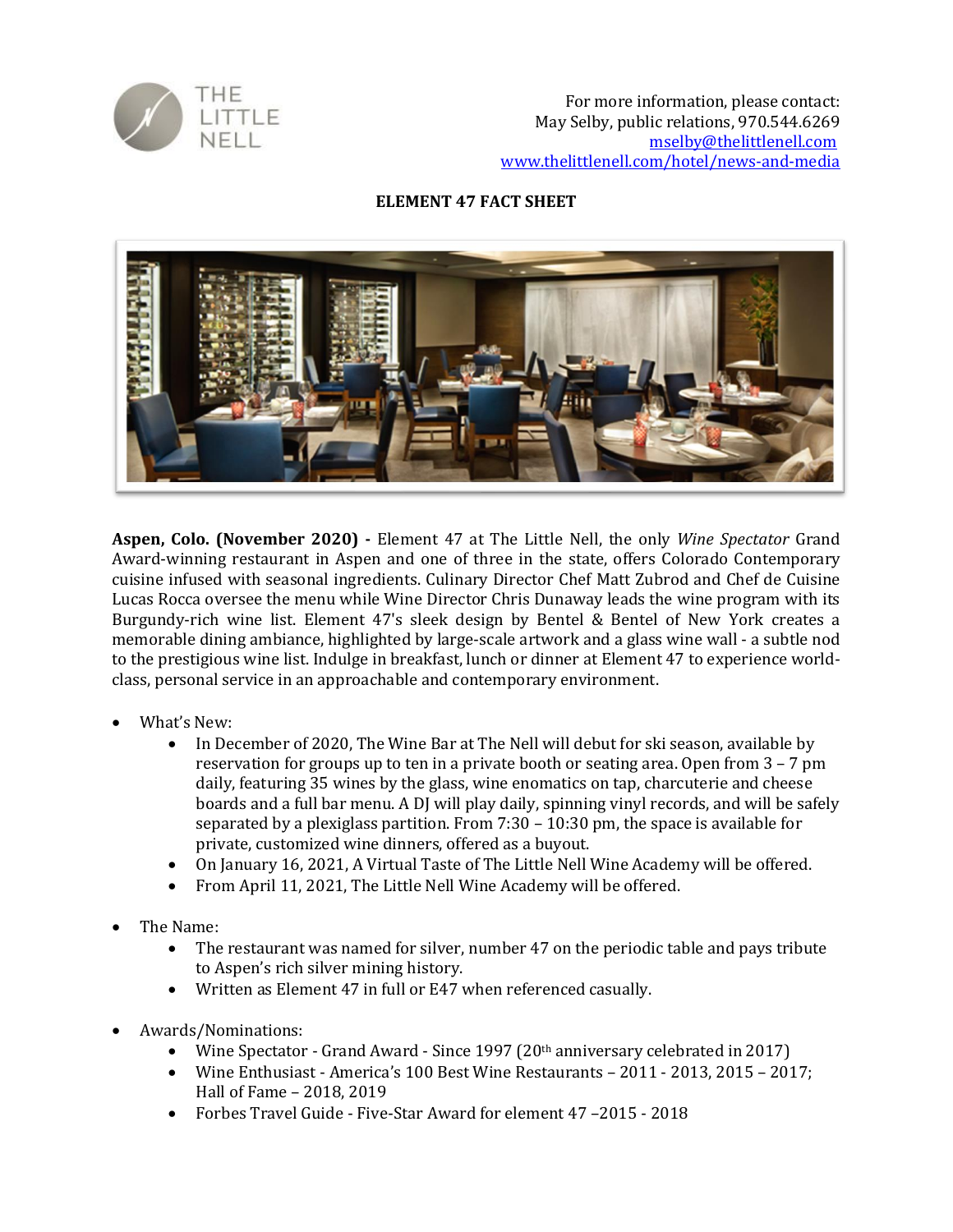

## **ELEMENT 47 FACT SHEET**



**Aspen, Colo. (November 2020) -** Element 47 at The Little Nell, the only *Wine Spectator* Grand Award-winning restaurant in Aspen and one of three in the state, offers Colorado Contemporary cuisine infused with seasonal ingredients. Culinary Director Chef Matt Zubrod and Chef de Cuisine Lucas Rocca oversee the menu while Wine Director Chris Dunaway leads the wine program with its Burgundy-rich wine list. Element 47's sleek design by Bentel & Bentel of New York creates a memorable dining ambiance, highlighted by large-scale artwork and a glass wine wall - a subtle nod to the prestigious wine list. Indulge in breakfast, lunch or dinner at Element 47 to experience worldclass, personal service in an approachable and contemporary environment.

- What's New:
	- In December of 2020, The Wine Bar at The Nell will debut for ski season, available by reservation for groups up to ten in a private booth or seating area. Open from 3 – 7 pm daily, featuring 35 wines by the glass, wine enomatics on tap, charcuterie and cheese boards and a full bar menu. A DJ will play daily, spinning vinyl records, and will be safely separated by a plexiglass partition. From  $7:30 - 10:30$  pm, the space is available for private, customized wine dinners, offered as a buyout.
	- On January 16, 2021, A Virtual Taste of The Little Nell Wine Academy will be offered.
	- From April 11, 2021, The Little Nell Wine Academy will be offered.
- The Name:
	- The restaurant was named for silver, number 47 on the periodic table and pays tribute to Aspen's rich silver mining history.
	- Written as Element 47 in full or E47 when referenced casually.
- Awards/Nominations:
	- Wine Spectator Grand Award Since 1997 (20th anniversary celebrated in 2017)
	- Wine Enthusiast America's 100 Best Wine Restaurants 2011 2013, 2015 2017; Hall of Fame – 2018, 2019
	- Forbes Travel Guide Five-Star Award for element 47 –2015 2018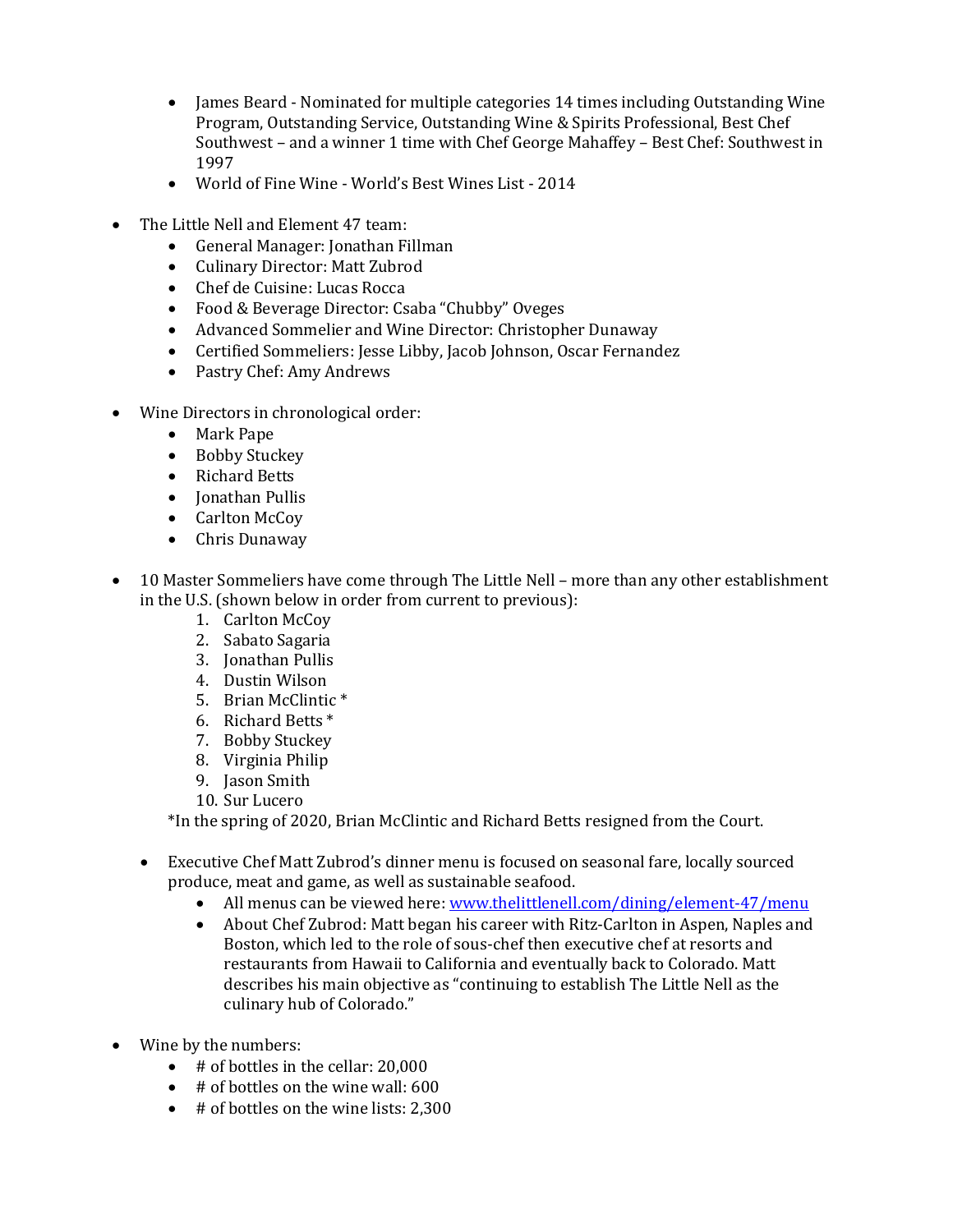- James Beard Nominated for multiple categories 14 times including Outstanding Wine Program, Outstanding Service, Outstanding Wine & Spirits Professional, Best Chef Southwest – and a winner 1 time with Chef George Mahaffey – Best Chef: Southwest in 1997
- World of Fine Wine World's Best Wines List 2014
- The Little Nell and Element 47 team:
	- General Manager: Jonathan Fillman
	- Culinary Director: [Matt Zubrod](https://www.thelittlenell.com/dining/element-47/our-talent/Matt-Zubrod)
	- Chef de Cuisine: Lucas Rocca
	- Food & Beverage Director: Csaba "Chubby" Oveges
	- Advanced Sommelier and Wine Director: [Christopher Dunaway](https://www.thelittlenell.com/dining/element-47/our-talent/Chris-Dunaway)
	- Certified Sommeliers: Jesse Libby, Jacob Johnson, Oscar Fernandez
	- Pastry Chef: Amy Andrews
- Wine Directors in chronological order:
	- Mark Pape
	- Bobby Stuckey
	- Richard Betts
	- Jonathan Pullis
	- Carlton McCoy
	- Chris Dunaway
- 10 Master Sommeliers have come through The Little Nell more than any other establishment in the U.S. (shown below in order from current to previous):
	- 1. Carlton McCoy
	- 2. Sabato Sagaria
	- 3. Jonathan Pullis
	- 4. Dustin Wilson
	- 5. Brian McClintic \*
	- 6. Richard Betts \*
	- 7. Bobby Stuckey
	- 8. Virginia Philip
	- 9. Jason Smith
	- 10. Sur Lucero

\*In the spring of 2020, Brian McClintic and Richard Betts resigned from the Court.

- Executive Chef Matt Zubrod's dinner menu is focused on seasonal fare, locally sourced produce, meat and game, as well as sustainable seafood.
	- All menus can be viewed here: [www.thelittlenell.com/dining/element-47/menu](http://www.thelittlenell.com/dining/element-47/menu)
	- About Chef Zubrod: Matt began his career with Ritz-Carlton in Aspen, Naples and Boston, which led to the role of sous-chef then executive chef at resorts and restaurants from Hawaii to California and eventually back to Colorado. Matt describes his main objective as "continuing to establish The Little Nell as the culinary hub of Colorado."
- Wine by the numbers:
	- # of bottles in the cellar: 20,000
	- # of bottles on the wine wall: 600
	- # of bottles on the wine lists: 2,300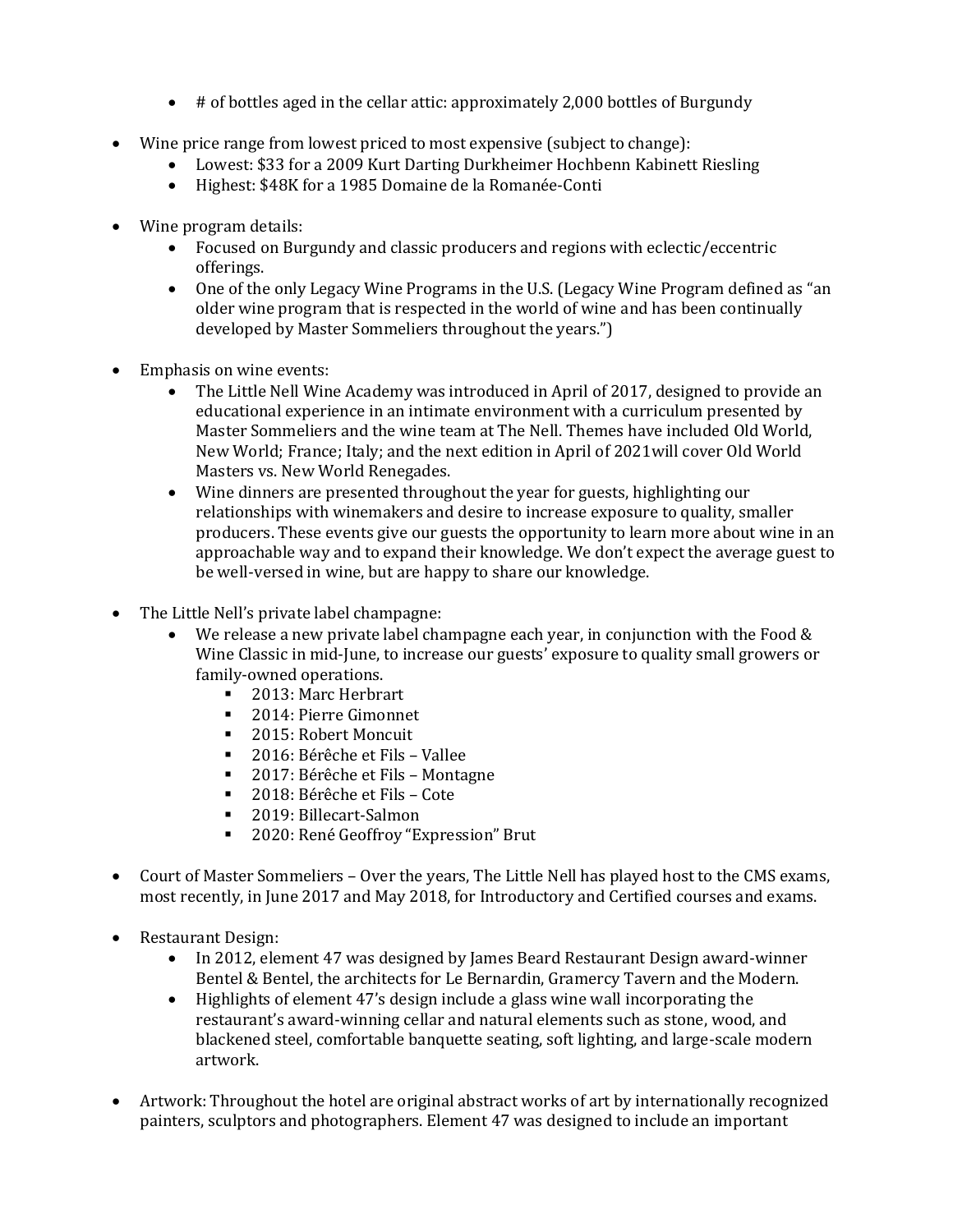- # of bottles aged in the cellar attic: approximately 2,000 bottles of Burgundy
- Wine price range from lowest priced to most expensive (subject to change):
	- Lowest: \$33 for a 2009 Kurt Darting Durkheimer Hochbenn Kabinett Riesling
	- Highest: \$48K for a 1985 Domaine de la Romanée-Conti
- Wine program details:
	- Focused on Burgundy and classic producers and regions with eclectic/eccentric offerings.
	- One of the only Legacy Wine Programs in the U.S. (Legacy Wine Program defined as "an older wine program that is respected in the world of wine and has been continually developed by Master Sommeliers throughout the years.")
- Emphasis on wine events:
	- The Little Nell Wine Academy was introduced in April of 2017, designed to provide an educational experience in an intimate environment with a curriculum presented by Master Sommeliers and the wine team at The Nell. Themes have included Old World, New World; France; Italy; and the next edition in April of 2021will cover Old World Masters vs. New World Renegades.
	- Wine dinners are presented throughout the year for guests, highlighting our relationships with winemakers and desire to increase exposure to quality, smaller producers. These events give our guests the opportunity to learn more about wine in an approachable way and to expand their knowledge. We don't expect the average guest to be well-versed in wine, but are happy to share our knowledge.
- The Little Nell's private label champagne:
	- We release a new private label champagne each year, in conjunction with the Food  $\&$ Wine Classic in mid-June, to increase our guests' exposure to quality small growers or family-owned operations.
		- 2013: Marc Herbrart
		- 2014: Pierre Gimonnet
		- 2015: Robert Moncuit
		- 2016: Bérêche et Fils Vallee
		- 2017: Bérêche et Fils Montagne
		- 2018: Bérêche et Fils Cote
		- 2019: Billecart-Salmon
		- 2020: René Geoffroy "Expression" Brut
- Court of Master Sommeliers Over the years, The Little Nell has played host to the CMS exams, most recently, in June 2017 and May 2018, for Introductory and Certified courses and exams.
- Restaurant Design:
	- In 2012, element 47 was designed by James Beard Restaurant Design award-winner Bentel & Bentel, the architects for Le Bernardin, Gramercy Tavern and the Modern.
	- Highlights of element 47's design include a glass wine wall incorporating the restaurant's award-winning cellar and natural elements such as stone, wood, and blackened steel, comfortable banquette seating, soft lighting, and large-scale modern artwork.
- Artwork: Throughout the hotel are original abstract works of art by internationally recognized painters, sculptors and photographers. Element 47 was designed to include an important